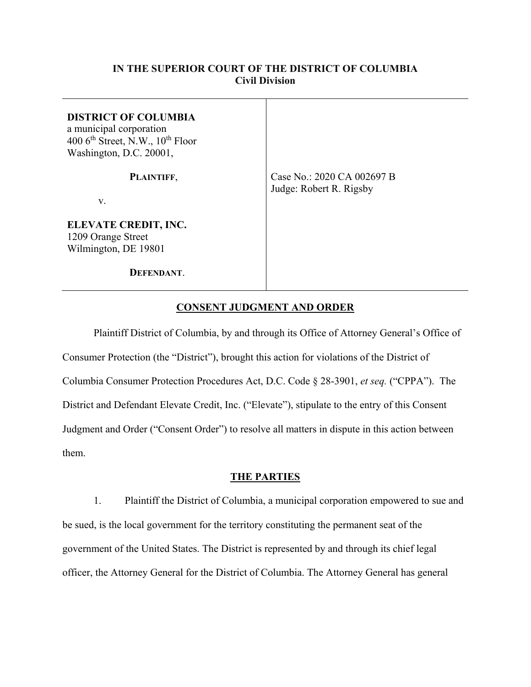# **IN THE SUPERIOR COURT OF THE DISTRICT OF COLUMBIA Civil Division**

| <b>DISTRICT OF COLUMBIA</b><br>a municipal corporation<br>400 $6th$ Street, N.W., $10th$ Floor<br>Washington, D.C. 20001, |                                                       |
|---------------------------------------------------------------------------------------------------------------------------|-------------------------------------------------------|
| PLAINTIFF,                                                                                                                | Case No.: 2020 CA 002697 B<br>Judge: Robert R. Rigsby |
| V.                                                                                                                        |                                                       |
| ELEVATE CREDIT, INC.<br>1209 Orange Street<br>Wilmington, DE 19801                                                        |                                                       |
| DEFENDANT.                                                                                                                |                                                       |

# **CONSENT JUDGMENT AND ORDER**

Plaintiff District of Columbia, by and through its Office of Attorney General's Office of Consumer Protection (the "District"), brought this action for violations of the District of Columbia Consumer Protection Procedures Act, D.C. Code § 28-3901, *et seq.* ("CPPA"). The District and Defendant Elevate Credit, Inc. ("Elevate"), stipulate to the entry of this Consent Judgment and Order ("Consent Order") to resolve all matters in dispute in this action between them.

## **THE PARTIES**

1. Plaintiff the District of Columbia, a municipal corporation empowered to sue and be sued, is the local government for the territory constituting the permanent seat of the government of the United States. The District is represented by and through its chief legal officer, the Attorney General for the District of Columbia. The Attorney General has general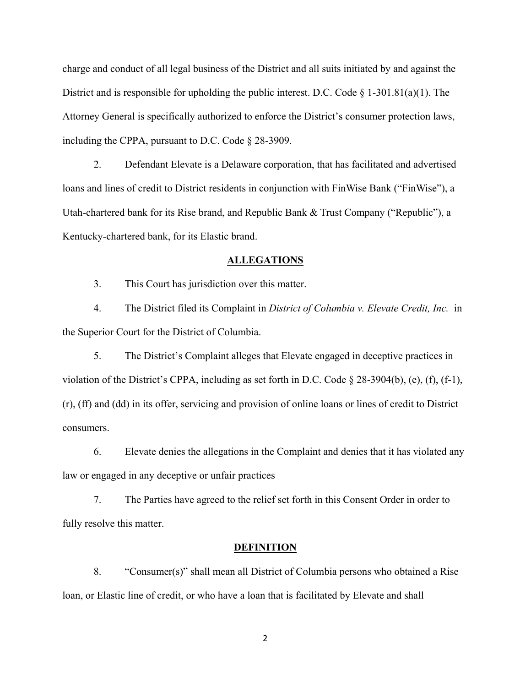charge and conduct of all legal business of the District and all suits initiated by and against the District and is responsible for upholding the public interest. D.C. Code § 1-301.81(a)(1). The Attorney General is specifically authorized to enforce the District's consumer protection laws, including the CPPA, pursuant to D.C. Code § 28-3909.

2. Defendant Elevate is a Delaware corporation, that has facilitated and advertised loans and lines of credit to District residents in conjunction with FinWise Bank ("FinWise"), a Utah-chartered bank for its Rise brand, and Republic Bank & Trust Company ("Republic"), a Kentucky-chartered bank, for its Elastic brand.

## **ALLEGATIONS**

3. This Court has jurisdiction over this matter.

4. The District filed its Complaint in *District of Columbia v. Elevate Credit, Inc.* in the Superior Court for the District of Columbia.

5. The District's Complaint alleges that Elevate engaged in deceptive practices in violation of the District's CPPA, including as set forth in D.C. Code § 28-3904(b), (e), (f), (f-1), (r), (ff) and (dd) in its offer, servicing and provision of online loans or lines of credit to District consumers.

6. Elevate denies the allegations in the Complaint and denies that it has violated any law or engaged in any deceptive or unfair practices

7. The Parties have agreed to the relief set forth in this Consent Order in order to fully resolve this matter.

#### **DEFINITION**

8. "Consumer(s)" shall mean all District of Columbia persons who obtained a Rise loan, or Elastic line of credit, or who have a loan that is facilitated by Elevate and shall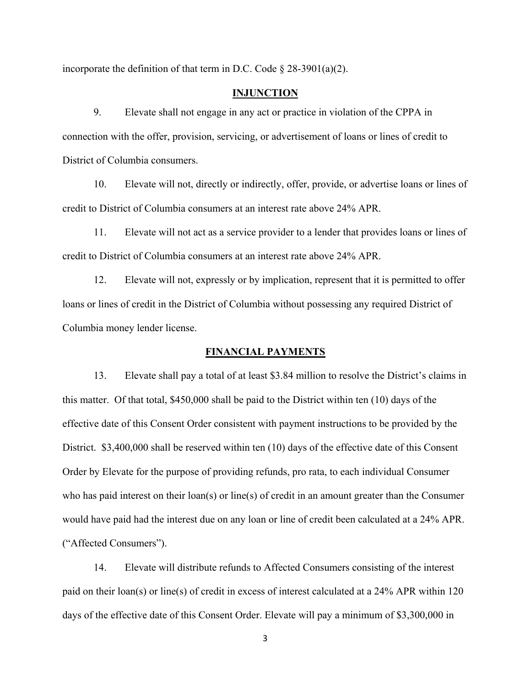incorporate the definition of that term in D.C. Code  $\S 28-3901(a)(2)$ .

## **INJUNCTION**

9. Elevate shall not engage in any act or practice in violation of the CPPA in connection with the offer, provision, servicing, or advertisement of loans or lines of credit to District of Columbia consumers.

10. Elevate will not, directly or indirectly, offer, provide, or advertise loans or lines of credit to District of Columbia consumers at an interest rate above 24% APR.

11. Elevate will not act as a service provider to a lender that provides loans or lines of credit to District of Columbia consumers at an interest rate above 24% APR.

12. Elevate will not, expressly or by implication, represent that it is permitted to offer loans or lines of credit in the District of Columbia without possessing any required District of Columbia money lender license.

#### **FINANCIAL PAYMENTS**

13. Elevate shall pay a total of at least \$3.84 million to resolve the District's claims in this matter. Of that total, \$450,000 shall be paid to the District within ten (10) days of the effective date of this Consent Order consistent with payment instructions to be provided by the District. \$3,400,000 shall be reserved within ten (10) days of the effective date of this Consent Order by Elevate for the purpose of providing refunds, pro rata, to each individual Consumer who has paid interest on their loan(s) or line(s) of credit in an amount greater than the Consumer would have paid had the interest due on any loan or line of credit been calculated at a 24% APR. ("Affected Consumers").

14. Elevate will distribute refunds to Affected Consumers consisting of the interest paid on their loan(s) or line(s) of credit in excess of interest calculated at a 24% APR within 120 days of the effective date of this Consent Order. Elevate will pay a minimum of \$3,300,000 in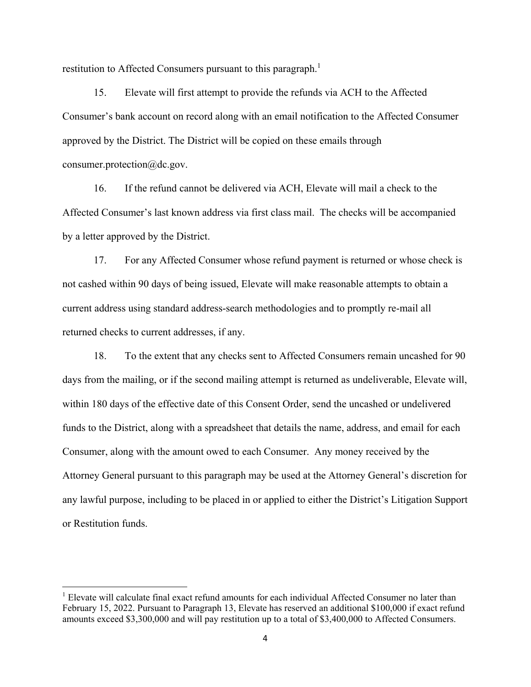restitution to Affected Consumers pursuant to this paragraph.<sup>1</sup>

15. Elevate will first attempt to provide the refunds via ACH to the Affected Consumer's bank account on record along with an email notification to the Affected Consumer approved by the District. The District will be copied on these emails through consumer.protection@dc.gov.

16. If the refund cannot be delivered via ACH, Elevate will mail a check to the Affected Consumer's last known address via first class mail. The checks will be accompanied by a letter approved by the District.

17. For any Affected Consumer whose refund payment is returned or whose check is not cashed within 90 days of being issued, Elevate will make reasonable attempts to obtain a current address using standard address-search methodologies and to promptly re-mail all returned checks to current addresses, if any.

18. To the extent that any checks sent to Affected Consumers remain uncashed for 90 days from the mailing, or if the second mailing attempt is returned as undeliverable, Elevate will, within 180 days of the effective date of this Consent Order, send the uncashed or undelivered funds to the District, along with a spreadsheet that details the name, address, and email for each Consumer, along with the amount owed to each Consumer. Any money received by the Attorney General pursuant to this paragraph may be used at the Attorney General's discretion for any lawful purpose, including to be placed in or applied to either the District's Litigation Support or Restitution funds.

<sup>&</sup>lt;sup>1</sup> Elevate will calculate final exact refund amounts for each individual Affected Consumer no later than February 15, 2022. Pursuant to Paragraph 13, Elevate has reserved an additional \$100,000 if exact refund amounts exceed \$3,300,000 and will pay restitution up to a total of \$3,400,000 to Affected Consumers.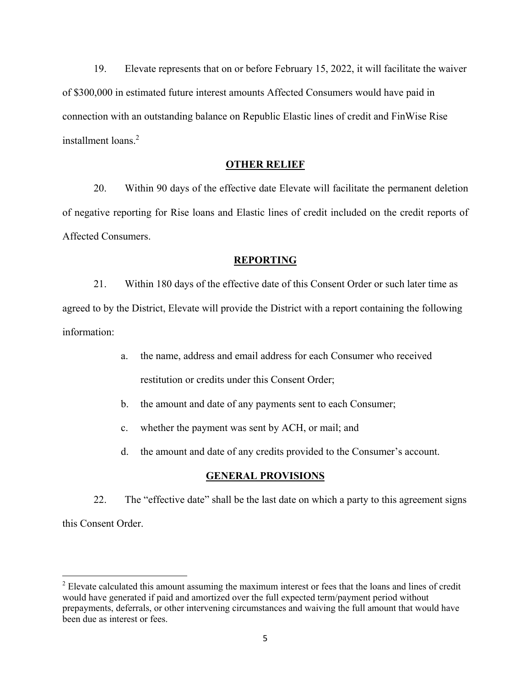19. Elevate represents that on or before February 15, 2022, it will facilitate the waiver of \$300,000 in estimated future interest amounts Affected Consumers would have paid in connection with an outstanding balance on Republic Elastic lines of credit and FinWise Rise installment loans.<sup>2</sup>

## **OTHER RELIEF**

20. Within 90 days of the effective date Elevate will facilitate the permanent deletion of negative reporting for Rise loans and Elastic lines of credit included on the credit reports of Affected Consumers.

#### **REPORTING**

21. Within 180 days of the effective date of this Consent Order or such later time as agreed to by the District, Elevate will provide the District with a report containing the following information:

- a. the name, address and email address for each Consumer who received restitution or credits under this Consent Order;
- b. the amount and date of any payments sent to each Consumer;
- c. whether the payment was sent by ACH, or mail; and
- d. the amount and date of any credits provided to the Consumer's account.

#### **GENERAL PROVISIONS**

22. The "effective date" shall be the last date on which a party to this agreement signs this Consent Order.

 $2$  Elevate calculated this amount assuming the maximum interest or fees that the loans and lines of credit would have generated if paid and amortized over the full expected term/payment period without prepayments, deferrals, or other intervening circumstances and waiving the full amount that would have been due as interest or fees.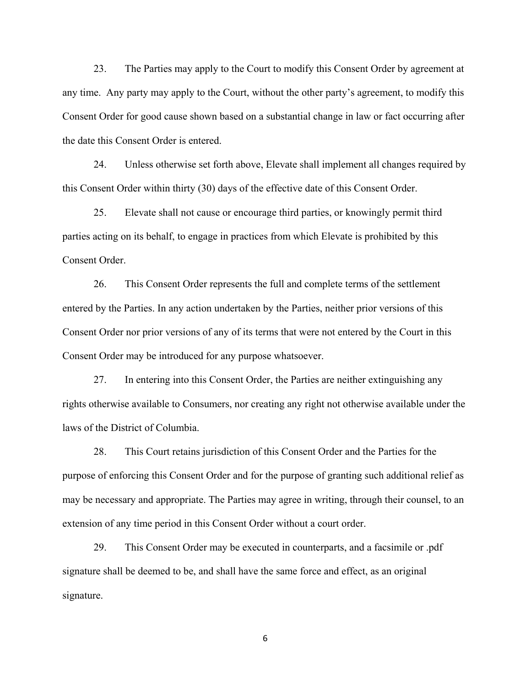23. The Parties may apply to the Court to modify this Consent Order by agreement at any time. Any party may apply to the Court, without the other party's agreement, to modify this Consent Order for good cause shown based on a substantial change in law or fact occurring after the date this Consent Order is entered.

24. Unless otherwise set forth above, Elevate shall implement all changes required by this Consent Order within thirty (30) days of the effective date of this Consent Order.

25. Elevate shall not cause or encourage third parties, or knowingly permit third parties acting on its behalf, to engage in practices from which Elevate is prohibited by this Consent Order.

26. This Consent Order represents the full and complete terms of the settlement entered by the Parties. In any action undertaken by the Parties, neither prior versions of this Consent Order nor prior versions of any of its terms that were not entered by the Court in this Consent Order may be introduced for any purpose whatsoever.

27. In entering into this Consent Order, the Parties are neither extinguishing any rights otherwise available to Consumers, nor creating any right not otherwise available under the laws of the District of Columbia.

28. This Court retains jurisdiction of this Consent Order and the Parties for the purpose of enforcing this Consent Order and for the purpose of granting such additional relief as may be necessary and appropriate. The Parties may agree in writing, through their counsel, to an extension of any time period in this Consent Order without a court order.

29. This Consent Order may be executed in counterparts, and a facsimile or .pdf signature shall be deemed to be, and shall have the same force and effect, as an original signature.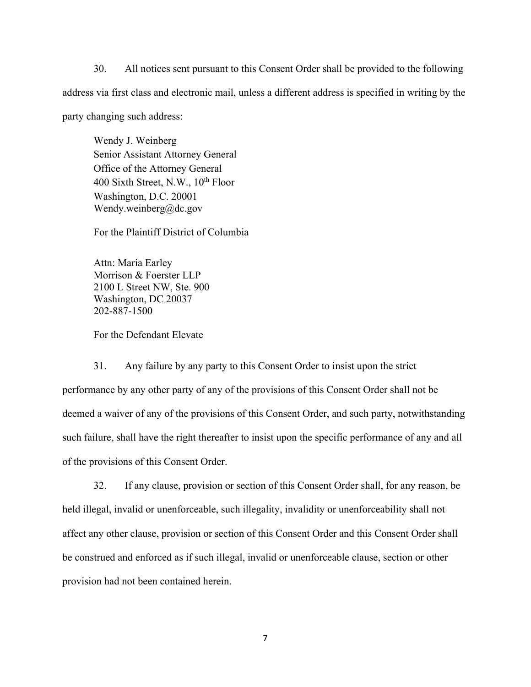30. All notices sent pursuant to this Consent Order shall be provided to the following address via first class and electronic mail, unless a different address is specified in writing by the party changing such address:

Wendy J. Weinberg Senior Assistant Attorney General Office of the Attorney General 400 Sixth Street, N.W.,  $10^{th}$  Floor Washington, D.C. 20001 Wendy.weinberg@dc.gov

For the Plaintiff District of Columbia

Attn: Maria Earley Morrison & Foerster LLP 2100 L Street NW, Ste. 900 Washington, DC 20037 202-887-1500

For the Defendant Elevate

31. Any failure by any party to this Consent Order to insist upon the strict performance by any other party of any of the provisions of this Consent Order shall not be deemed a waiver of any of the provisions of this Consent Order, and such party, notwithstanding such failure, shall have the right thereafter to insist upon the specific performance of any and all of the provisions of this Consent Order.

32. If any clause, provision or section of this Consent Order shall, for any reason, be held illegal, invalid or unenforceable, such illegality, invalidity or unenforceability shall not affect any other clause, provision or section of this Consent Order and this Consent Order shall be construed and enforced as if such illegal, invalid or unenforceable clause, section or other provision had not been contained herein.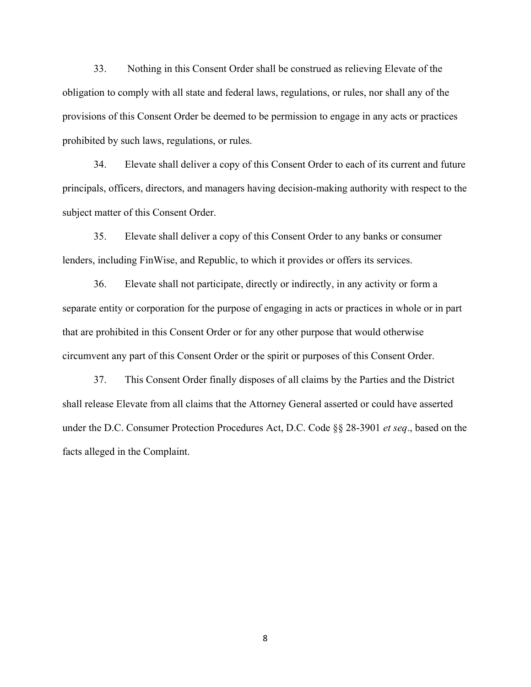33. Nothing in this Consent Order shall be construed as relieving Elevate of the obligation to comply with all state and federal laws, regulations, or rules, nor shall any of the provisions of this Consent Order be deemed to be permission to engage in any acts or practices prohibited by such laws, regulations, or rules.

34. Elevate shall deliver a copy of this Consent Order to each of its current and future principals, officers, directors, and managers having decision-making authority with respect to the subject matter of this Consent Order.

35. Elevate shall deliver a copy of this Consent Order to any banks or consumer lenders, including FinWise, and Republic, to which it provides or offers its services.

36. Elevate shall not participate, directly or indirectly, in any activity or form a separate entity or corporation for the purpose of engaging in acts or practices in whole or in part that are prohibited in this Consent Order or for any other purpose that would otherwise circumvent any part of this Consent Order or the spirit or purposes of this Consent Order.

37. This Consent Order finally disposes of all claims by the Parties and the District shall release Elevate from all claims that the Attorney General asserted or could have asserted under the D.C. Consumer Protection Procedures Act, D.C. Code §§ 28-3901 *et seq*., based on the facts alleged in the Complaint.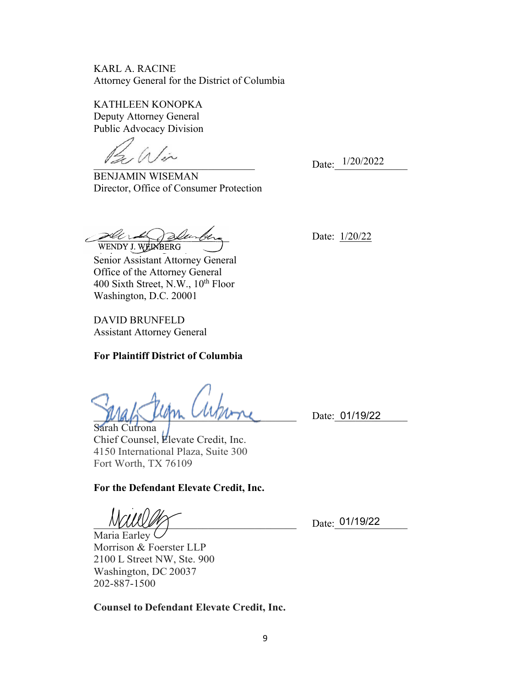KARL A. RACINE Attorney General for the District of Columbia

KATHLEEN KONOPKA Deputy Attorney General Public Advocacy Division

 $\sqrt{2}$ 

BENJAMIN WISEMAN Director, Office of Consumer Protection

sur sen WENDY J. WEINBERG

Senior Assistant Attorney General Office of the Attorney General 400 Sixth Street, N.W.,  $10^{th}$  Floor Washington, D.C. 20001

DAVID BRUNFELD Assistant Attorney General

# **For Plaintiff District of Columbia**

 $M4\sim M$   $M_{\odot}$   $M_{\odot}$   $M_{\odot}$   $M_{\odot}$   $M_{\odot}$   $M_{\odot}$  Date: 01/19/22  $M_{\odot}$ 

Sarah Cutrona Chief Counsel, Elevate Credit, Inc. 4150 International Plaza, Suite 300 Fort Worth, TX 76109

**For the Defendant Elevate Credit, Inc.** 

 $N\frac{1}{2}$  Date: 01/19/22

Maria Earley <sup>(</sup> Morrison & Foerster LLP 2100 L Street NW, Ste. 900 Washington, DC 20037 202-887-1500

**Counsel to Defendant Elevate Credit, Inc.**

Date:  $1/20/2022$ 

Date: 1/20/22